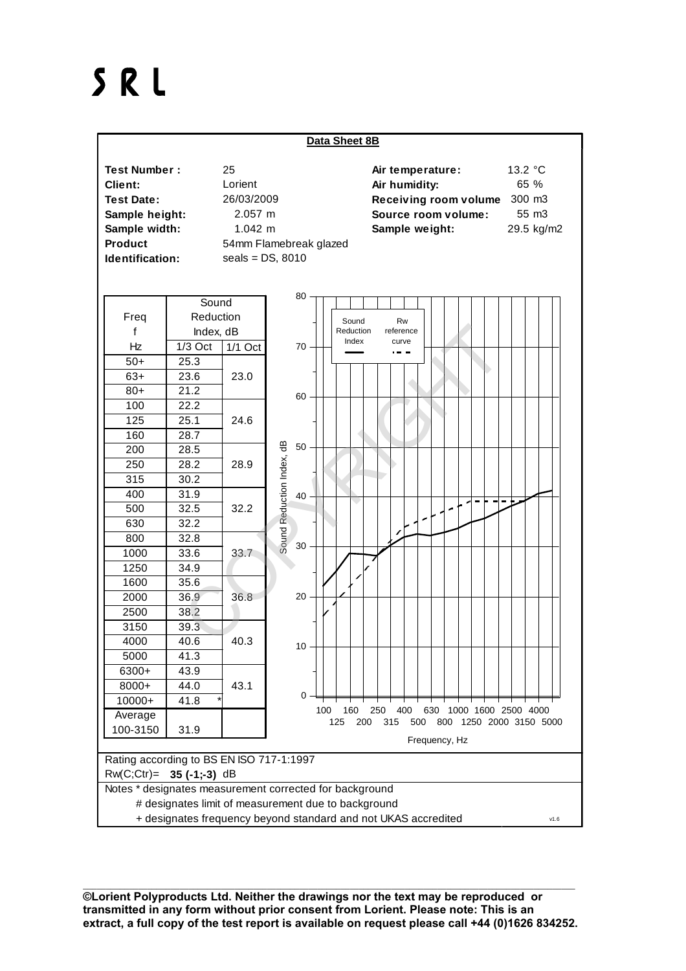## SRL



\_\_\_\_\_\_\_\_\_\_\_\_\_\_\_\_\_\_\_\_\_\_\_\_\_\_\_\_\_\_\_\_\_\_\_\_\_\_\_\_\_\_\_\_\_\_\_\_\_\_\_\_\_\_\_\_\_\_\_\_\_\_\_\_\_\_\_\_\_\_\_\_\_\_\_\_\_\_\_\_\_\_\_\_\_\_\_\_\_\_\_\_\_\_\_\_\_\_\_\_\_\_\_\_\_\_\_ **©Lorient Polyproducts Ltd. Neither the drawings nor the text may be reproduced or transmitted in any form without prior consent from Lorient. Please note: This is an extract, a full copy of the test report is available on request please call +44 (0)1626 834252.**